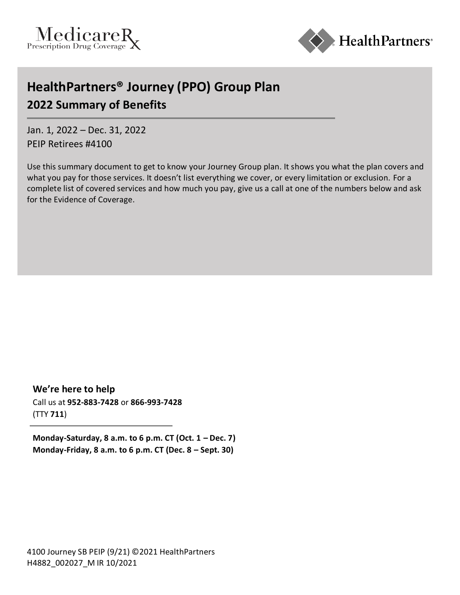



# **HealthPartners® Journey (PPO) Group Plan 2022 Summary of Benefits**

Jan. 1, 2022 – Dec. 31, 2022 PEIP Retirees #4100

Use this summary document to get to know your Journey Group plan. It shows you what the plan covers and what you pay for those services. It doesn't list everything we cover, or every limitation or exclusion. For a complete list of covered services and how much you pay, give us a call at one of the numbers below and ask for the Evidence of Coverage.

**We're here to help** Call us at **952-883-7428** or **866-993-7428** (TTY **711**)

**Monday-Saturday, 8 a.m. to 6 p.m. CT (Oct. 1 – Dec. 7) Monday-Friday, 8 a.m. to 6 p.m. CT (Dec. 8 – Sept. 30)**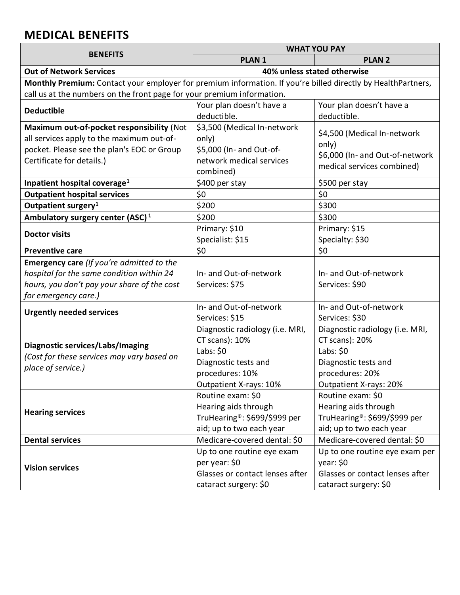## **MEDICAL BENEFITS**

|                                                                                                              |                                         | <b>WHAT YOU PAY</b>                     |  |  |
|--------------------------------------------------------------------------------------------------------------|-----------------------------------------|-----------------------------------------|--|--|
| <b>BENEFITS</b>                                                                                              | <b>PLAN1</b>                            | <b>PLAN 2</b>                           |  |  |
| <b>Out of Network Services</b>                                                                               | 40% unless stated otherwise             |                                         |  |  |
| Monthly Premium: Contact your employer for premium information. If you're billed directly by HealthPartners, |                                         |                                         |  |  |
| call us at the numbers on the front page for your premium information.                                       |                                         |                                         |  |  |
| <b>Deductible</b>                                                                                            | Your plan doesn't have a<br>deductible. | Your plan doesn't have a<br>deductible. |  |  |
| Maximum out-of-pocket responsibility (Not                                                                    | \$3,500 (Medical In-network             | \$4,500 (Medical In-network             |  |  |
| all services apply to the maximum out-of-                                                                    | only)                                   |                                         |  |  |
| pocket. Please see the plan's EOC or Group                                                                   | \$5,000 (In- and Out-of-                | only)                                   |  |  |
| Certificate for details.)                                                                                    | network medical services                | \$6,000 (In- and Out-of-network         |  |  |
|                                                                                                              | combined)                               | medical services combined)              |  |  |
| Inpatient hospital coverage <sup>1</sup>                                                                     | \$400 per stay                          | \$500 per stay                          |  |  |
| <b>Outpatient hospital services</b>                                                                          | \$0                                     | \$0                                     |  |  |
| Outpatient surgery <sup>1</sup>                                                                              | \$200                                   | \$300                                   |  |  |
| Ambulatory surgery center (ASC) <sup>1</sup>                                                                 | \$200                                   | \$300                                   |  |  |
| <b>Doctor visits</b>                                                                                         | Primary: \$10                           | Primary: \$15                           |  |  |
|                                                                                                              | Specialist: \$15                        | Specialty: \$30                         |  |  |
| <b>Preventive care</b>                                                                                       | \$0\$                                   | \$0                                     |  |  |
| Emergency care (If you're admitted to the                                                                    |                                         |                                         |  |  |
| hospital for the same condition within 24                                                                    | In- and Out-of-network                  | In- and Out-of-network                  |  |  |
| hours, you don't pay your share of the cost                                                                  | Services: \$75                          | Services: \$90                          |  |  |
| for emergency care.)                                                                                         |                                         |                                         |  |  |
| <b>Urgently needed services</b>                                                                              | In- and Out-of-network                  | In- and Out-of-network                  |  |  |
|                                                                                                              | Services: \$15                          | Services: \$30                          |  |  |
|                                                                                                              | Diagnostic radiology (i.e. MRI,         | Diagnostic radiology (i.e. MRI,         |  |  |
| Diagnostic services/Labs/Imaging                                                                             | CT scans): 10%                          | CT scans): 20%                          |  |  |
| (Cost for these services may vary based on                                                                   | Labs: \$0                               | Labs: $$0$                              |  |  |
| place of service.)                                                                                           | Diagnostic tests and                    | Diagnostic tests and                    |  |  |
|                                                                                                              | procedures: 10%                         | procedures: 20%                         |  |  |
|                                                                                                              | Outpatient X-rays: 10%                  | Outpatient X-rays: 20%                  |  |  |
|                                                                                                              | Routine exam: \$0                       | Routine exam: \$0                       |  |  |
| <b>Hearing services</b>                                                                                      | Hearing aids through                    | Hearing aids through                    |  |  |
|                                                                                                              | TruHearing®: \$699/\$999 per            | TruHearing®: \$699/\$999 per            |  |  |
|                                                                                                              | aid; up to two each year                | aid; up to two each year                |  |  |
| <b>Dental services</b>                                                                                       | Medicare-covered dental: \$0            | Medicare-covered dental: \$0            |  |  |
| <b>Vision services</b>                                                                                       | Up to one routine eye exam              | Up to one routine eye exam per          |  |  |
|                                                                                                              | per year: \$0                           | year: \$0                               |  |  |
|                                                                                                              | Glasses or contact lenses after         | Glasses or contact lenses after         |  |  |
|                                                                                                              | cataract surgery: \$0                   | cataract surgery: \$0                   |  |  |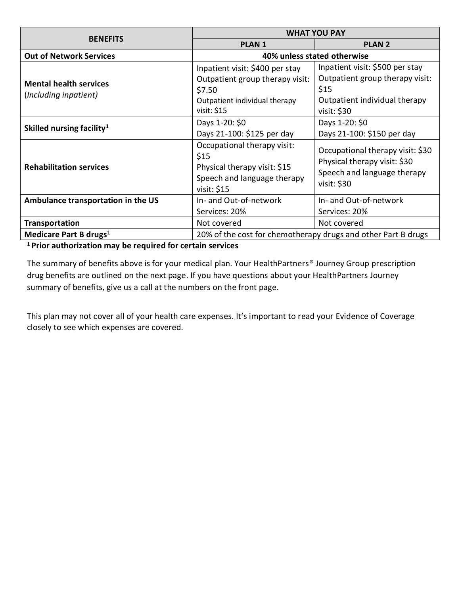|                                                        | <b>WHAT YOU PAY</b>                                                                                                          |                                                                                                                            |
|--------------------------------------------------------|------------------------------------------------------------------------------------------------------------------------------|----------------------------------------------------------------------------------------------------------------------------|
| <b>BENEFITS</b>                                        | <b>PLAN1</b>                                                                                                                 | <b>PLAN 2</b>                                                                                                              |
| <b>Out of Network Services</b>                         | 40% unless stated otherwise                                                                                                  |                                                                                                                            |
| <b>Mental health services</b><br>(Including inpatient) | Inpatient visit: \$400 per stay<br>Outpatient group therapy visit:<br>\$7.50<br>Outpatient individual therapy<br>visit: \$15 | Inpatient visit: \$500 per stay<br>Outpatient group therapy visit:<br>\$15<br>Outpatient individual therapy<br>visit: \$30 |
| Skilled nursing facility <sup>1</sup>                  | Days 1-20: \$0<br>Days 21-100: \$125 per day                                                                                 | Days 1-20: \$0<br>Days 21-100: \$150 per day                                                                               |
| <b>Rehabilitation services</b>                         | Occupational therapy visit:<br>\$15<br>Physical therapy visit: \$15<br>Speech and language therapy<br>visit: \$15            | Occupational therapy visit: \$30<br>Physical therapy visit: \$30<br>Speech and language therapy<br>visit: \$30             |
| Ambulance transportation in the US                     | In- and Out-of-network<br>Services: 20%                                                                                      | In- and Out-of-network<br>Services: 20%                                                                                    |
| <b>Transportation</b>                                  | Not covered                                                                                                                  | Not covered                                                                                                                |
| Medicare Part B drugs <sup>1</sup>                     | 20% of the cost for chemotherapy drugs and other Part B drugs                                                                |                                                                                                                            |

**<sup>1</sup>Prior authorization may be required for certain services**

The summary of benefits above is for your medical plan. Your HealthPartners® Journey Group prescription drug benefits are outlined on the next page. If you have questions about your HealthPartners Journey summary of benefits, give us a call at the numbers on the front page.

This plan may not cover all of your health care expenses. It's important to read your Evidence of Coverage closely to see which expenses are covered.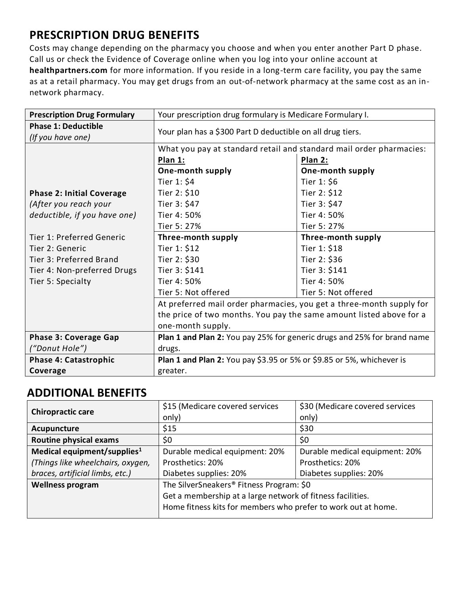## **PRESCRIPTION DRUG BENEFITS**

Costs may change depending on the pharmacy you choose and when you enter another Part D phase. Call us or check the Evidence of Coverage online when you log into your online account at **healthpartners.com** for more information. If you reside in a long-term care facility, you pay the same as at a retail pharmacy. You may get drugs from an out-of-network pharmacy at the same cost as an innetwork pharmacy.

| <b>Prescription Drug Formulary</b> | Your prescription drug formulary is Medicare Formulary I.               |                     |  |
|------------------------------------|-------------------------------------------------------------------------|---------------------|--|
| <b>Phase 1: Deductible</b>         |                                                                         |                     |  |
| (If you have one)                  | Your plan has a \$300 Part D deductible on all drug tiers.              |                     |  |
|                                    | What you pay at standard retail and standard mail order pharmacies:     |                     |  |
|                                    | Plan 1:                                                                 | Plan 2:             |  |
|                                    | One-month supply                                                        | One-month supply    |  |
|                                    | Tier 1: \$4                                                             | Tier $1: $6$        |  |
| <b>Phase 2: Initial Coverage</b>   | Tier 2: \$10                                                            | Tier 2: \$12        |  |
| (After you reach your              | Tier 3: \$47                                                            | Tier 3: \$47        |  |
| deductible, if you have one)       | Tier 4: 50%                                                             | Tier 4: 50%         |  |
|                                    | Tier 5: 27%                                                             | Tier 5: 27%         |  |
| Tier 1: Preferred Generic          | Three-month supply                                                      | Three-month supply  |  |
| Tier 2: Generic                    | Tier 1: \$12                                                            | Tier 1: \$18        |  |
| Tier 3: Preferred Brand            | Tier 2: \$30                                                            | Tier 2: \$36        |  |
| Tier 4: Non-preferred Drugs        | Tier 3: \$141                                                           | Tier 3: \$141       |  |
| Tier 5: Specialty                  | Tier 4: 50%                                                             | Tier 4: 50%         |  |
|                                    | Tier 5: Not offered                                                     | Tier 5: Not offered |  |
|                                    | At preferred mail order pharmacies, you get a three-month supply for    |                     |  |
|                                    | the price of two months. You pay the same amount listed above for a     |                     |  |
|                                    | one-month supply.                                                       |                     |  |
| <b>Phase 3: Coverage Gap</b>       | Plan 1 and Plan 2: You pay 25% for generic drugs and 25% for brand name |                     |  |
| ("Donut Hole")                     | drugs.                                                                  |                     |  |
| <b>Phase 4: Catastrophic</b>       | Plan 1 and Plan 2: You pay \$3.95 or 5% or \$9.85 or 5%, whichever is   |                     |  |
| Coverage                           | greater.                                                                |                     |  |

## **ADDITIONAL BENEFITS**

| <b>Chiropractic care</b>                | \$15 (Medicare covered services                               | \$30 (Medicare covered services |  |
|-----------------------------------------|---------------------------------------------------------------|---------------------------------|--|
|                                         | only)                                                         | only)                           |  |
| Acupuncture                             | \$15                                                          | \$30                            |  |
| <b>Routine physical exams</b>           | \$0                                                           | \$0                             |  |
| Medical equipment/supplies <sup>1</sup> | Durable medical equipment: 20%                                | Durable medical equipment: 20%  |  |
| (Things like wheelchairs, oxygen,       | Prosthetics: 20%                                              | Prosthetics: 20%                |  |
| braces, artificial limbs, etc.)         | Diabetes supplies: 20%                                        | Diabetes supplies: 20%          |  |
| <b>Wellness program</b>                 | The SilverSneakers <sup>®</sup> Fitness Program: \$0          |                                 |  |
|                                         | Get a membership at a large network of fitness facilities.    |                                 |  |
|                                         | Home fitness kits for members who prefer to work out at home. |                                 |  |